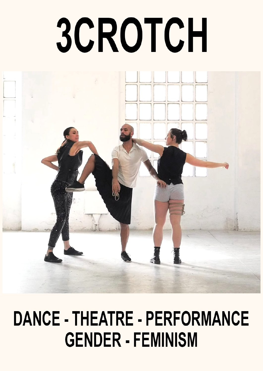# 3CROTCH



## **DANCE - THEATRE - PERFORMANCE GENDER - FEMINISM**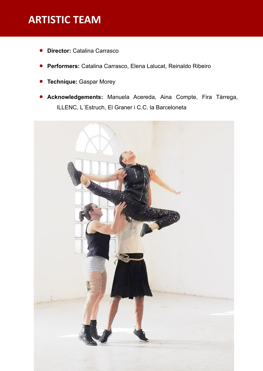## **ARTISTIC TEAM**

- **Director:** Catalina Carrasco
- **Performers:** Catalina Carrasco, Elena Lalucat, Reinaldo Ribeiro
- **Technique:** Gaspar Morey
- **Acknowledgements:** Manuela Acereda, Aina Compte, Fira Tàrrega, ILLENC, L´Estruch, El Graner i C.C. la Barceloneta

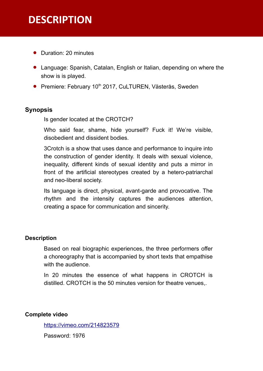## **DESCRIPTION**

- Duration: 20 minutes
- Language: Spanish, Catalan, English or Italian, depending on where the show is is played.
- **•** Premiere: February 10<sup>th</sup> 2017, CuLTUREN, Västerås, Sweden

#### **Synopsis**

Is gender located at the CROTCH?

Who said fear, shame, hide yourself? Fuck it! We're visible, disobedient and dissident bodies.

3Crotch is a show that uses dance and performance to inquire into the construction of gender identity. It deals with sexual violence, inequality, different kinds of sexual identity and puts a mirror in front of the artificial stereotypes created by a hetero-patriarchal and neo-liberal society.

Its language is direct, physical, avant-garde and provocative. The rhythm and the intensity captures the audiences attention, creating a space for communication and sincerity.

#### **Description**

Based on real biographic experiences, the three performers offer a choreography that is accompanied by short texts that empathise with the audience.

In 20 minutes the essence of what happens in CROTCH is distilled. CROTCH is the 50 minutes version for theatre venues,.

#### **Complete video**

<https://vimeo.com/214823579>

Password: 1976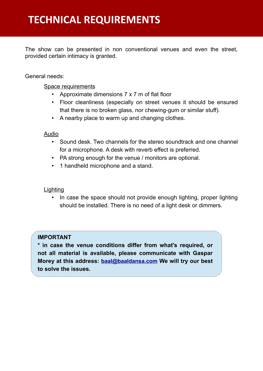The show can be presented in non conventional venues and even the street, provided certain intimacy is granted.

#### General needs:

#### Space requirements

- Approximate dimensions 7 x 7 m of flat floor
- Floor cleanliness (especially on street venues it should be ensured that there is no broken glass, nor chewing-gum or similar stuff).
- A nearby place to warm up and changing clothes.

#### **Audio**

- Sound desk. Two channels for the stereo soundtrack and one channel for a microphone. A desk with reverb effect is preferred.
- PA strong enough for the venue / monitors are optional.
- 1 handheld microphone and a stand.

#### **Lighting**

• In case the space should not provide enough lighting, proper lighting should be installed. There is no need of a light desk or dimmers.

#### **IMPORTANT**

**\* in case the venue conditions differ from what's required, or not all material is available, please communicate with Gaspar Morey at this address: [baal@baaldansa.com](mailto:baal@baaldansa.com?subject=Caracter%C3%ADsticas%20t%C3%A9cnicas%20de%20nuestro%20espacio) We will try our best to solve the issues.**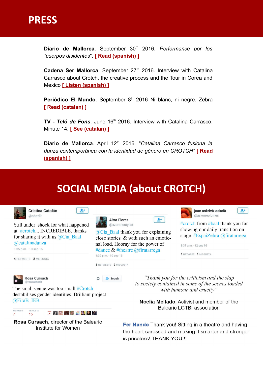

Diario de Mallorca. September 30<sup>th</sup> 2016. Performance por los *"cuerpos disidentes*". **[\[ Read \(spanish\) \]](http://ocio.diariodemallorca.es/agenda/noticias/nws-532871-performance-cuerpos-disidentes.html)**

Cadena Ser Mallorca. September 27<sup>th</sup> 2016. Interview with Catalina Carrasco about Crotch, the creative process and the Tour in Corea and Mexico **[\[ Listen \(spanish\) \]](http://cadenaser.com/emisora/2016/09/27/radio_mallorca/1474997239_560871.html)**

Periódico El Mundo. September 8<sup>th</sup> 2016 Ni blanc, ni negre. Zebra **[\[ Read \(catalan\) \]](http://baaldansa.com/wp-content/uploads/2016/04/cia-baal-crotch-el-mundo-barcelona-fira-tarrega.png)**

**TV - Teló de Fons**. June 16<sup>th</sup> 2016. Interview with Catalina Carrasco. Minute 14. **[\[ See \(catalan\) \]](http://canalterrassavalles.xiptv.cat/telo-de-fons/capitol/43-teatre-i-lgtb)**

**Diario de Mallorca**. April 12th 2016. "*Catalina Carrasco fusiona la danza contemporánea con la identidad de género en CROTCH*" **[\[ Read](http://baaldansa.com/wp-content/uploads/2015/12/Diario-de-Mallorca-CROCTH-Catalina-Carrasco1.jpg) [\(spanish\) \]](http://baaldansa.com/wp-content/uploads/2015/12/Diario-de-Mallorca-CROCTH-Catalina-Carrasco1.jpg)**

## **SOCIAL MEDIA (about CROTCH)**



RETWEETS ● 第2章 通過日 第 15

ME GUSTA

Rosa Cursach, director of the Balearic Institute for Women

Fer Nando Thank you! Sitting in a theatre and having the heart caressed and making it smarter and stronger is priceless! THANK YOU!!!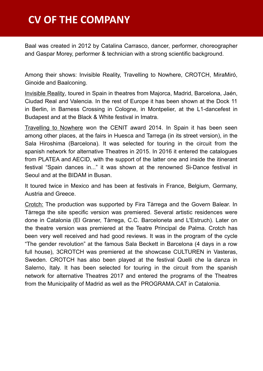## **CV OF THE COMPANY**

Baal was created in 2012 by Catalina Carrasco, dancer, performer, choreographer and Gaspar Morey, performer & technician with a strong scientific background.

Among their shows: Invisible Reality, Travelling to Nowhere, CROTCH, MiraMiró, Ginoide and Baalconing.

Invisible Reality, toured in Spain in theatres from Majorca, Madrid, Barcelona, Jaén, Ciudad Real and Valencia. In the rest of Europe it has been shown at the Dock 11 in Berlin, in Barness Crossing in Cologne, in Montpelier, at the L1-dancefest in Budapest and at the Black & White festival in Imatra.

Travelling to Nowhere won the CENIT award 2014. In Spain it has been seen among other places, at the fairs in Huesca and Tarrega (in its street version), in the Sala Hiroshima (Barcelona). It was selected for touring in the circuit from the spanish network for alternative Theatres in 2015. In 2016 it entered the catalogues from PLATEA and AECID, with the support of the latter one and inside the itinerant festival "Spain dances in..." it was shown at the renowned Si-Dance festival in Seoul and at the BIDAM in Busan.

It toured twice in Mexico and has been at festivals in France, Belgium, Germany, Austria and Greece.

Crotch: The production was supported by Fira Tàrrega and the Govern Balear. In Tàrrega the site specific version was premiered. Several artistic residences were done in Catalonia (El Graner, Tàrrega, C.C. Barceloneta and L'Estruch). Later on the theatre version was premiered at the Teatre Principal de Palma. Crotch has been very well received and had good reviews. It was in the program of the cycle "The gender revolution" at the famous Sala Beckett in Barcelona (4 days in a row full house), 3CROTCH was premiered at the showcase CULTUREN in Vasteras, Sweden. CROTCH has also been played at the festival Quelli che la danza in Salerno, Italy. It has been selected for touring in the circuit from the spanish network for alternative Theatres 2017 and entered the programs of the Theatres from the Municipality of Madrid as well as the PROGRAMA.CAT in Catalonia.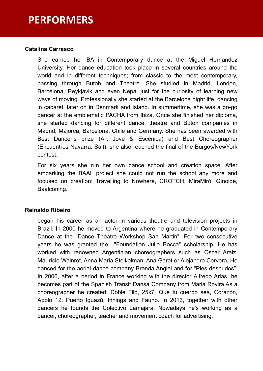### **PERFORMERS**

#### **Catalina Carrasco**

She earned her BA in Contemporary dance at the Miguel Hernandez University. Her dance education took place in several countries around the world and in different techniques; from classic to the most contemporary, passing through Butoh and Theatre. She studied in Madrid, London, Barcelona, Reykjavik and even Nepal just for the curiosity of learning new ways of moving. Professionally she started at the Barcelona night life, dancing in cabaret, later on in Denmark and Island. In summertime, she was a go-go dancer at the emblematic PACHA from Ibiza. Once she finished her diploma, she started dancing for different dance, theatre and Butoh companies in Madrid, Majorca, Barcelona, Chile and Germany. She has been awarded with Best Dancer's prize (Art Jove & Escènica) and Best Choreographer (Encuentros Navarra, Salt), she also reached the final of the Burgos/NewYork contest.

For six years she run her own dance school and creation space. After embarking the BAAL project she could not run the school any more and focused on creation: Travelling to Nowhere, CROTCH, MiraMiró, Ginoide, Baalconing.

#### **Reinaldo Ribeiro**

began his career as an actor in various theatre and television projects in Brazil. In 2000 he moved to Argentina where he graduated in Contemporary Dance at the "Dance Theatre Workshop San Martin". For two consecutive years he was granted the "Foundation Julio Bocca" scholarship. He has worked with renowned Argentinian choreographers such as Oscar Araiz, Maurício Wainrot, Anna Maria Stelkelman, Ana Garat or Alejandro Cervera. He danced for the aerial dance company Brenda Angiel and for "Pies desnudos". In 2006, after a period in France working with the director Alfredo Arias, he becomes part of the Spanish Transit Dansa Company from Maria Rovira.As a choreographer he created: Doble Filo, 25x7, Que tu cuerpo sea, Corazón, Apolo 12. Puerto Iguazú, Innings and Fauno. In 2013, together with other dancers he founds the Colectivo Lamajara. Nowadays he's working as a dancer, choreographer, teacher and movement coach for advertising.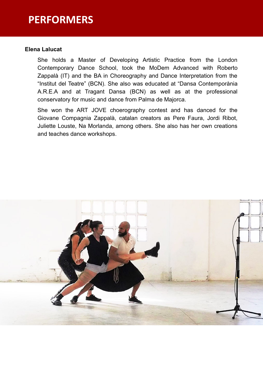## **PERFORMERS**

#### **Elena Lalucat**

She holds a Master of Developing Artistic Practice from the London Contemporary Dance School, took the MoDem Advanced with Roberto Zappalà (IT) and the BA in Choreography and Dance Interpretation from the "Institut del Teatre" (BCN). She also was educated at "Dansa Contemporània A.R.E.A and at Tragant Dansa (BCN) as well as at the professional conservatory for music and dance from Palma de Majorca.

She won the ART JOVE choerography contest and has danced for the Giovane Compagnia Zappalà, catalan creators as Pere Faura, Jordi Ribot, Juliette Louste, Na Morlanda, among others. She also has her own creations and teaches dance workshops.